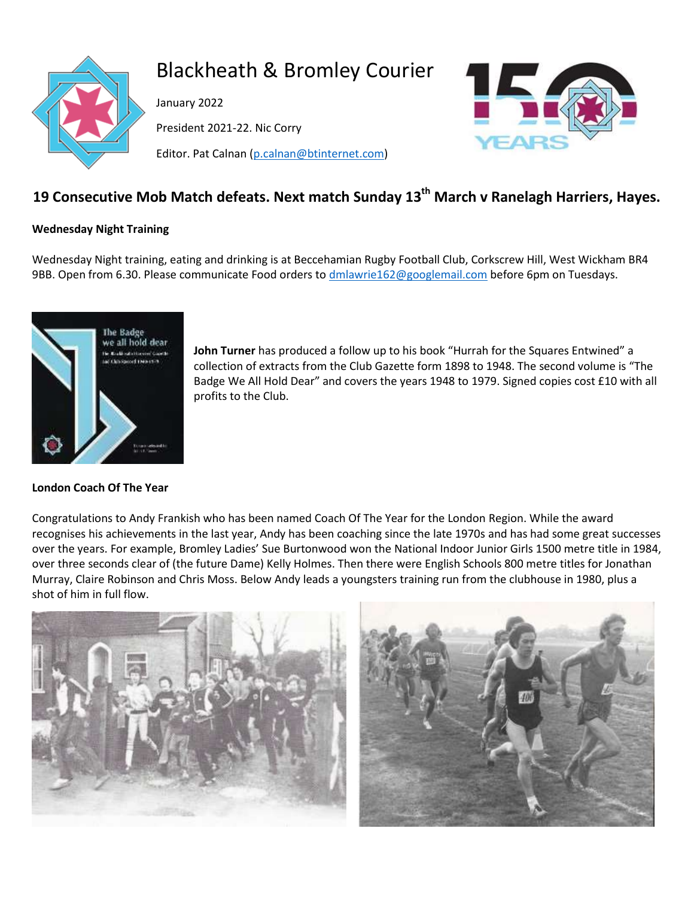

# Blackheath & Bromley Courier

January 2022

President 2021-22. Nic Corry

Editor. Pat Calnan [\(p.calnan@btinternet.com\)](mailto:p.calnan@btinternet.com)



# **19 Consecutive Mob Match defeats. Next match Sunday 13th March v Ranelagh Harriers, Hayes.**

#### **Wednesday Night Training**

Wednesday Night training, eating and drinking is at Beccehamian Rugby Football Club, Corkscrew Hill, West Wickham BR4 9BB. Open from 6.30. Please communicate Food orders to [dmlawrie162@googlemail.com](mailto:dmlawrie162@googlemail.com) before 6pm on Tuesdays.



#### **London Coach Of The Year**

**John Turner** has produced a follow up to his book "Hurrah for the Squares Entwined" a collection of extracts from the Club Gazette form 1898 to 1948. The second volume is "The Badge We All Hold Dear" and covers the years 1948 to 1979. Signed copies cost £10 with all profits to the Club.

Congratulations to Andy Frankish who has been named Coach Of The Year for the London Region. While the award recognises his achievements in the last year, Andy has been coaching since the late 1970s and has had some great successes over the years. For example, Bromley Ladies' Sue Burtonwood won the National Indoor Junior Girls 1500 metre title in 1984, over three seconds clear of (the future Dame) Kelly Holmes. Then there were English Schools 800 metre titles for Jonathan Murray, Claire Robinson and Chris Moss. Below Andy leads a youngsters training run from the clubhouse in 1980, plus a shot of him in full flow.



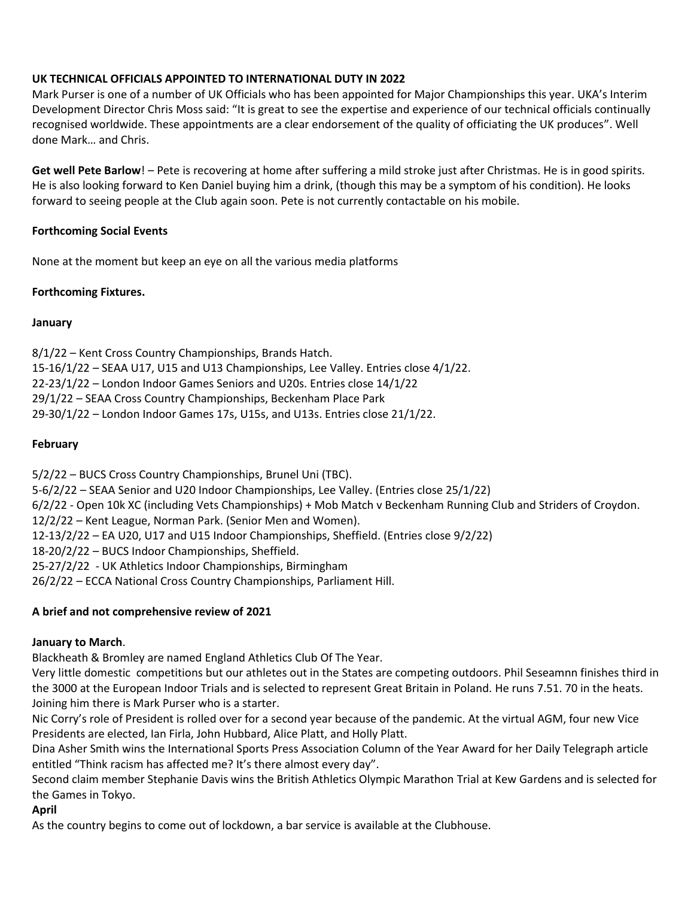### **UK TECHNICAL OFFICIALS APPOINTED TO INTERNATIONAL DUTY IN 2022**

Mark Purser is one of a number of UK Officials who has been appointed for Major Championships this year. UKA's Interim Development Director Chris Moss said: "It is great to see the expertise and experience of our technical officials continually recognised worldwide. These appointments are a clear endorsement of the quality of officiating the UK produces". Well done Mark… and Chris.

**Get well Pete Barlow**! – Pete is recovering at home after suffering a mild stroke just after Christmas. He is in good spirits. He is also looking forward to Ken Daniel buying him a drink, (though this may be a symptom of his condition). He looks forward to seeing people at the Club again soon. Pete is not currently contactable on his mobile.

### **Forthcoming Social Events**

None at the moment but keep an eye on all the various media platforms

# **Forthcoming Fixtures.**

#### **January**

8/1/22 – Kent Cross Country Championships, Brands Hatch. 15-16/1/22 – SEAA U17, U15 and U13 Championships, Lee Valley. Entries close 4/1/22. 22-23/1/22 – London Indoor Games Seniors and U20s. Entries close 14/1/22 29/1/22 – SEAA Cross Country Championships, Beckenham Place Park 29-30/1/22 – London Indoor Games 17s, U15s, and U13s. Entries close 21/1/22.

### **February**

5/2/22 – BUCS Cross Country Championships, Brunel Uni (TBC). 5-6/2/22 – SEAA Senior and U20 Indoor Championships, Lee Valley. (Entries close 25/1/22) 6/2/22 - Open 10k XC (including Vets Championships) + Mob Match v Beckenham Running Club and Striders of Croydon. 12/2/22 – Kent League, Norman Park. (Senior Men and Women). 12-13/2/22 – EA U20, U17 and U15 Indoor Championships, Sheffield. (Entries close 9/2/22) 18-20/2/22 – BUCS Indoor Championships, Sheffield. 25-27/2/22 - UK Athletics Indoor Championships, Birmingham 26/2/22 – ECCA National Cross Country Championships, Parliament Hill.

#### **A brief and not comprehensive review of 2021**

#### **January to March**.

Blackheath & Bromley are named England Athletics Club Of The Year.

Very little domestic competitions but our athletes out in the States are competing outdoors. Phil Seseamnn finishes third in the 3000 at the European Indoor Trials and is selected to represent Great Britain in Poland. He runs 7.51. 70 in the heats. Joining him there is Mark Purser who is a starter.

Nic Corry's role of President is rolled over for a second year because of the pandemic. At the virtual AGM, four new Vice Presidents are elected, Ian Firla, John Hubbard, Alice Platt, and Holly Platt.

Dina Asher Smith wins the International Sports Press Association Column of the Year Award for her Daily Telegraph article entitled "Think racism has affected me? It's there almost every day".

Second claim member Stephanie Davis wins the British Athletics Olympic Marathon Trial at Kew Gardens and is selected for the Games in Tokyo.

#### **April**

As the country begins to come out of lockdown, a bar service is available at the Clubhouse.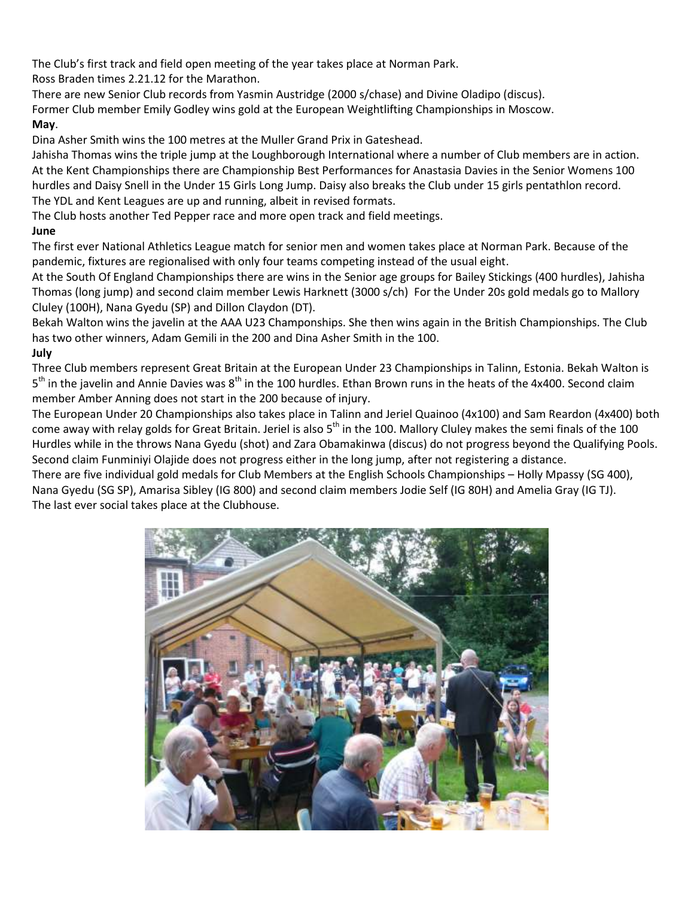The Club's first track and field open meeting of the year takes place at Norman Park.

Ross Braden times 2.21.12 for the Marathon.

There are new Senior Club records from Yasmin Austridge (2000 s/chase) and Divine Oladipo (discus).

Former Club member Emily Godley wins gold at the European Weightlifting Championships in Moscow.

# **May**.

Dina Asher Smith wins the 100 metres at the Muller Grand Prix in Gateshead.

Jahisha Thomas wins the triple jump at the Loughborough International where a number of Club members are in action. At the Kent Championships there are Championship Best Performances for Anastasia Davies in the Senior Womens 100 hurdles and Daisy Snell in the Under 15 Girls Long Jump. Daisy also breaks the Club under 15 girls pentathlon record. The YDL and Kent Leagues are up and running, albeit in revised formats.

The Club hosts another Ted Pepper race and more open track and field meetings.

# **June**

The first ever National Athletics League match for senior men and women takes place at Norman Park. Because of the pandemic, fixtures are regionalised with only four teams competing instead of the usual eight.

At the South Of England Championships there are wins in the Senior age groups for Bailey Stickings (400 hurdles), Jahisha Thomas (long jump) and second claim member Lewis Harknett (3000 s/ch) For the Under 20s gold medals go to Mallory Cluley (100H), Nana Gyedu (SP) and Dillon Claydon (DT).

Bekah Walton wins the javelin at the AAA U23 Champonships. She then wins again in the British Championships. The Club has two other winners, Adam Gemili in the 200 and Dina Asher Smith in the 100. **July**

Three Club members represent Great Britain at the European Under 23 Championships in Talinn, Estonia. Bekah Walton is 5<sup>th</sup> in the javelin and Annie Davies was 8<sup>th</sup> in the 100 hurdles. Ethan Brown runs in the heats of the 4x400. Second claim member Amber Anning does not start in the 200 because of injury.

The European Under 20 Championships also takes place in Talinn and Jeriel Quainoo (4x100) and Sam Reardon (4x400) both come away with relay golds for Great Britain. Jeriel is also  $5<sup>th</sup>$  in the 100. Mallory Cluley makes the semi finals of the 100 Hurdles while in the throws Nana Gyedu (shot) and Zara Obamakinwa (discus) do not progress beyond the Qualifying Pools. Second claim Funminiyi Olajide does not progress either in the long jump, after not registering a distance.

There are five individual gold medals for Club Members at the English Schools Championships – Holly Mpassy (SG 400), Nana Gyedu (SG SP), Amarisa Sibley (IG 800) and second claim members Jodie Self (IG 80H) and Amelia Gray (IG TJ). The last ever social takes place at the Clubhouse.

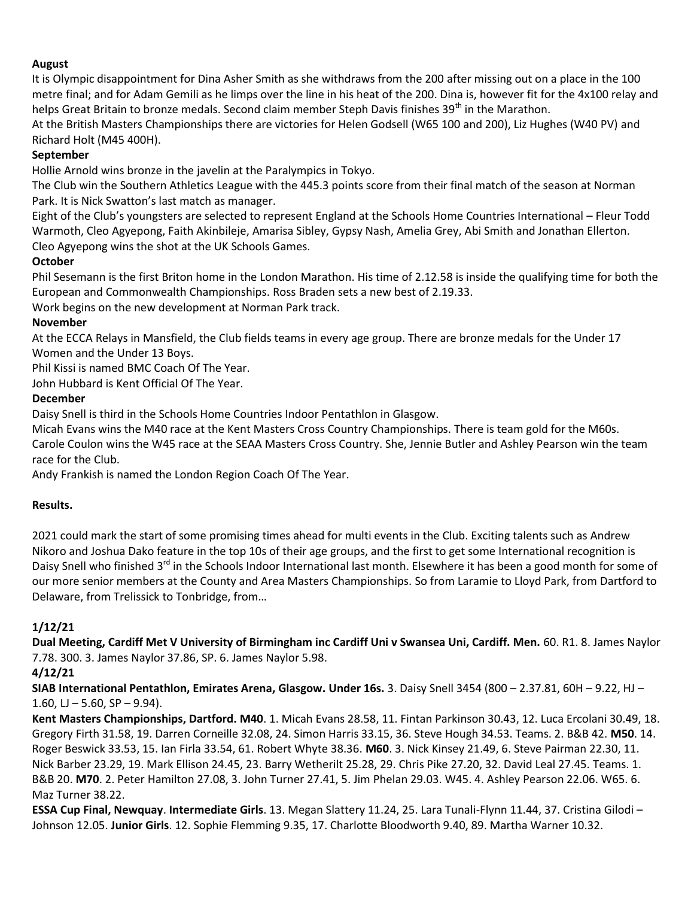#### **August**

It is Olympic disappointment for Dina Asher Smith as she withdraws from the 200 after missing out on a place in the 100 metre final; and for Adam Gemili as he limps over the line in his heat of the 200. Dina is, however fit for the 4x100 relay and helps Great Britain to bronze medals. Second claim member Steph Davis finishes 39<sup>th</sup> in the Marathon.

At the British Masters Championships there are victories for Helen Godsell (W65 100 and 200), Liz Hughes (W40 PV) and Richard Holt (M45 400H).

#### **September**

Hollie Arnold wins bronze in the javelin at the Paralympics in Tokyo.

The Club win the Southern Athletics League with the 445.3 points score from their final match of the season at Norman Park. It is Nick Swatton's last match as manager.

Eight of the Club's youngsters are selected to represent England at the Schools Home Countries International – Fleur Todd Warmoth, Cleo Agyepong, Faith Akinbileje, Amarisa Sibley, Gypsy Nash, Amelia Grey, Abi Smith and Jonathan Ellerton. Cleo Agyepong wins the shot at the UK Schools Games.

#### **October**

Phil Sesemann is the first Briton home in the London Marathon. His time of 2.12.58 is inside the qualifying time for both the European and Commonwealth Championships. Ross Braden sets a new best of 2.19.33.

Work begins on the new development at Norman Park track.

#### **November**

At the ECCA Relays in Mansfield, the Club fields teams in every age group. There are bronze medals for the Under 17 Women and the Under 13 Boys.

Phil Kissi is named BMC Coach Of The Year.

John Hubbard is Kent Official Of The Year.

#### **December**

Daisy Snell is third in the Schools Home Countries Indoor Pentathlon in Glasgow.

Micah Evans wins the M40 race at the Kent Masters Cross Country Championships. There is team gold for the M60s. Carole Coulon wins the W45 race at the SEAA Masters Cross Country. She, Jennie Butler and Ashley Pearson win the team race for the Club.

Andy Frankish is named the London Region Coach Of The Year.

#### **Results.**

2021 could mark the start of some promising times ahead for multi events in the Club. Exciting talents such as Andrew Nikoro and Joshua Dako feature in the top 10s of their age groups, and the first to get some International recognition is Daisy Snell who finished 3<sup>rd</sup> in the Schools Indoor International last month. Elsewhere it has been a good month for some of our more senior members at the County and Area Masters Championships. So from Laramie to Lloyd Park, from Dartford to Delaware, from Trelissick to Tonbridge, from…

#### **1/12/21**

**Dual Meeting, Cardiff Met V University of Birmingham inc Cardiff Uni v Swansea Uni, Cardiff. Men.** 60. R1. 8. James Naylor 7.78. 300. 3. James Naylor 37.86, SP. 6. James Naylor 5.98.

#### **4/12/21**

**SIAB International Pentathlon, Emirates Arena, Glasgow. Under 16s.** 3. Daisy Snell 3454 (800 – 2.37.81, 60H – 9.22, HJ – 1.60,  $LJ - 5.60$ , SP  $- 9.94$ ).

**Kent Masters Championships, Dartford. M40**. 1. Micah Evans 28.58, 11. Fintan Parkinson 30.43, 12. Luca Ercolani 30.49, 18. Gregory Firth 31.58, 19. Darren Corneille 32.08, 24. Simon Harris 33.15, 36. Steve Hough 34.53. Teams. 2. B&B 42. **M50**. 14. Roger Beswick 33.53, 15. Ian Firla 33.54, 61. Robert Whyte 38.36. **M60**. 3. Nick Kinsey 21.49, 6. Steve Pairman 22.30, 11. Nick Barber 23.29, 19. Mark Ellison 24.45, 23. Barry Wetherilt 25.28, 29. Chris Pike 27.20, 32. David Leal 27.45. Teams. 1. B&B 20. **M70**. 2. Peter Hamilton 27.08, 3. John Turner 27.41, 5. Jim Phelan 29.03. W45. 4. Ashley Pearson 22.06. W65. 6. Maz Turner 38.22.

**ESSA Cup Final, Newquay**. **Intermediate Girls**. 13. Megan Slattery 11.24, 25. Lara Tunali-Flynn 11.44, 37. Cristina Gilodi – Johnson 12.05. **Junior Girls**. 12. Sophie Flemming 9.35, 17. Charlotte Bloodworth 9.40, 89. Martha Warner 10.32.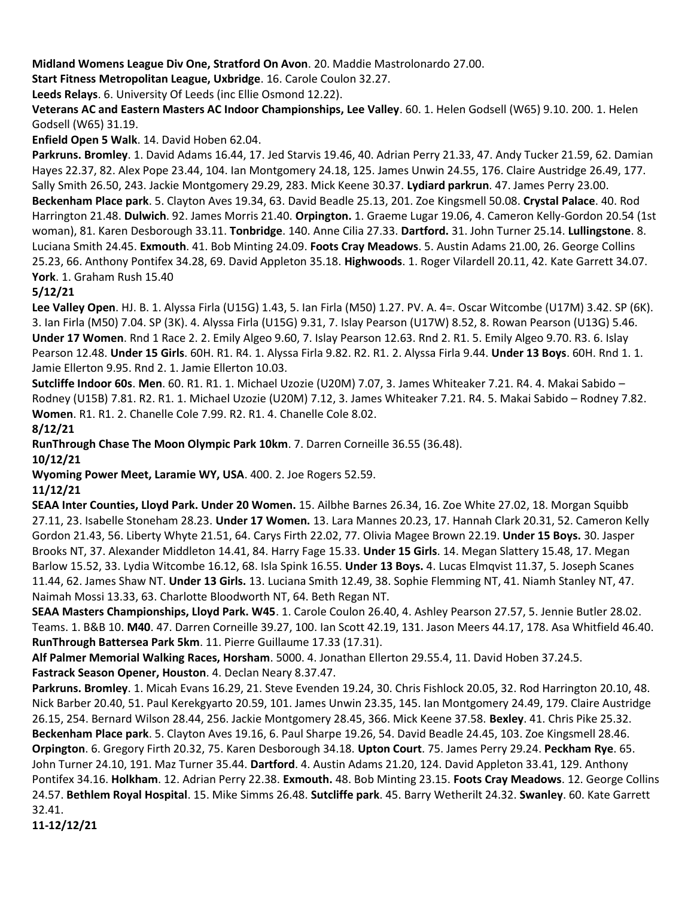**Midland Womens League Div One, Stratford On Avon**. 20. Maddie Mastrolonardo 27.00.

**Start Fitness Metropolitan League, Uxbridge**. 16. Carole Coulon 32.27.

**Leeds Relays**. 6. University Of Leeds (inc Ellie Osmond 12.22).

**Veterans AC and Eastern Masters AC Indoor Championships, Lee Valley**. 60. 1. Helen Godsell (W65) 9.10. 200. 1. Helen Godsell (W65) 31.19.

**Enfield Open 5 Walk**. 14. David Hoben 62.04.

**Parkruns. Bromley**. 1. David Adams 16.44, 17. Jed Starvis 19.46, 40. Adrian Perry 21.33, 47. Andy Tucker 21.59, 62. Damian Hayes 22.37, 82. Alex Pope 23.44, 104. Ian Montgomery 24.18, 125. James Unwin 24.55, 176. Claire Austridge 26.49, 177. Sally Smith 26.50, 243. Jackie Montgomery 29.29, 283. Mick Keene 30.37. **Lydiard parkrun**. 47. James Perry 23.00. **Beckenham Place park**. 5. Clayton Aves 19.34, 63. David Beadle 25.13, 201. Zoe Kingsmell 50.08. **Crystal Palace**. 40. Rod Harrington 21.48. **Dulwich**. 92. James Morris 21.40. **Orpington.** 1. Graeme Lugar 19.06, 4. Cameron Kelly-Gordon 20.54 (1st woman), 81. Karen Desborough 33.11. **Tonbridge**. 140. Anne Cilia 27.33. **Dartford.** 31. John Turner 25.14. **Lullingstone**. 8. Luciana Smith 24.45. **Exmouth**. 41. Bob Minting 24.09. **Foots Cray Meadows**. 5. Austin Adams 21.00, 26. George Collins 25.23, 66. Anthony Pontifex 34.28, 69. David Appleton 35.18. **Highwoods**. 1. Roger Vilardell 20.11, 42. Kate Garrett 34.07. **York**. 1. Graham Rush 15.40

#### **5/12/21**

**Lee Valley Open**. HJ. B. 1. Alyssa Firla (U15G) 1.43, 5. Ian Firla (M50) 1.27. PV. A. 4=. Oscar Witcombe (U17M) 3.42. SP (6K). 3. Ian Firla (M50) 7.04. SP (3K). 4. Alyssa Firla (U15G) 9.31, 7. Islay Pearson (U17W) 8.52, 8. Rowan Pearson (U13G) 5.46. **Under 17 Women**. Rnd 1 Race 2. 2. Emily Algeo 9.60, 7. Islay Pearson 12.63. Rnd 2. R1. 5. Emily Algeo 9.70. R3. 6. Islay Pearson 12.48. **Under 15 Girls**. 60H. R1. R4. 1. Alyssa Firla 9.82. R2. R1. 2. Alyssa Firla 9.44. **Under 13 Boys**. 60H. Rnd 1. 1. Jamie Ellerton 9.95. Rnd 2. 1. Jamie Ellerton 10.03.

**Sutcliffe Indoor 60s**. **Men**. 60. R1. R1. 1. Michael Uzozie (U20M) 7.07, 3. James Whiteaker 7.21. R4. 4. Makai Sabido – Rodney (U15B) 7.81. R2. R1. 1. Michael Uzozie (U20M) 7.12, 3. James Whiteaker 7.21. R4. 5. Makai Sabido – Rodney 7.82. **Women**. R1. R1. 2. Chanelle Cole 7.99. R2. R1. 4. Chanelle Cole 8.02.

**8/12/21**

**RunThrough Chase The Moon Olympic Park 10km**. 7. Darren Corneille 36.55 (36.48).

**10/12/21**

**Wyoming Power Meet, Laramie WY, USA**. 400. 2. Joe Rogers 52.59.

**11/12/21**

**SEAA Inter Counties, Lloyd Park. Under 20 Women.** 15. Ailbhe Barnes 26.34, 16. Zoe White 27.02, 18. Morgan Squibb 27.11, 23. Isabelle Stoneham 28.23. **Under 17 Women.** 13. Lara Mannes 20.23, 17. Hannah Clark 20.31, 52. Cameron Kelly Gordon 21.43, 56. Liberty Whyte 21.51, 64. Carys Firth 22.02, 77. Olivia Magee Brown 22.19. **Under 15 Boys.** 30. Jasper Brooks NT, 37. Alexander Middleton 14.41, 84. Harry Fage 15.33. **Under 15 Girls**. 14. Megan Slattery 15.48, 17. Megan Barlow 15.52, 33. Lydia Witcombe 16.12, 68. Isla Spink 16.55. **Under 13 Boys.** 4. Lucas Elmqvist 11.37, 5. Joseph Scanes 11.44, 62. James Shaw NT. **Under 13 Girls.** 13. Luciana Smith 12.49, 38. Sophie Flemming NT, 41. Niamh Stanley NT, 47. Naimah Mossi 13.33, 63. Charlotte Bloodworth NT, 64. Beth Regan NT.

**SEAA Masters Championships, Lloyd Park. W45**. 1. Carole Coulon 26.40, 4. Ashley Pearson 27.57, 5. Jennie Butler 28.02. Teams. 1. B&B 10. **M40**. 47. Darren Corneille 39.27, 100. Ian Scott 42.19, 131. Jason Meers 44.17, 178. Asa Whitfield 46.40. **RunThrough Battersea Park 5km**. 11. Pierre Guillaume 17.33 (17.31).

**Alf Palmer Memorial Walking Races, Horsham**. 5000. 4. Jonathan Ellerton 29.55.4, 11. David Hoben 37.24.5. **Fastrack Season Opener, Houston**. 4. Declan Neary 8.37.47.

**Parkruns. Bromley**. 1. Micah Evans 16.29, 21. Steve Evenden 19.24, 30. Chris Fishlock 20.05, 32. Rod Harrington 20.10, 48. Nick Barber 20.40, 51. Paul Kerekgyarto 20.59, 101. James Unwin 23.35, 145. Ian Montgomery 24.49, 179. Claire Austridge 26.15, 254. Bernard Wilson 28.44, 256. Jackie Montgomery 28.45, 366. Mick Keene 37.58. **Bexley**. 41. Chris Pike 25.32. **Beckenham Place park**. 5. Clayton Aves 19.16, 6. Paul Sharpe 19.26, 54. David Beadle 24.45, 103. Zoe Kingsmell 28.46. **Orpington**. 6. Gregory Firth 20.32, 75. Karen Desborough 34.18. **Upton Court**. 75. James Perry 29.24. **Peckham Rye**. 65. John Turner 24.10, 191. Maz Turner 35.44. **Dartford**. 4. Austin Adams 21.20, 124. David Appleton 33.41, 129. Anthony Pontifex 34.16. **Holkham**. 12. Adrian Perry 22.38. **Exmouth.** 48. Bob Minting 23.15. **Foots Cray Meadows**. 12. George Collins 24.57. **Bethlem Royal Hospital**. 15. Mike Simms 26.48. **Sutcliffe park**. 45. Barry Wetherilt 24.32. **Swanley**. 60. Kate Garrett 32.41.

**11-12/12/21**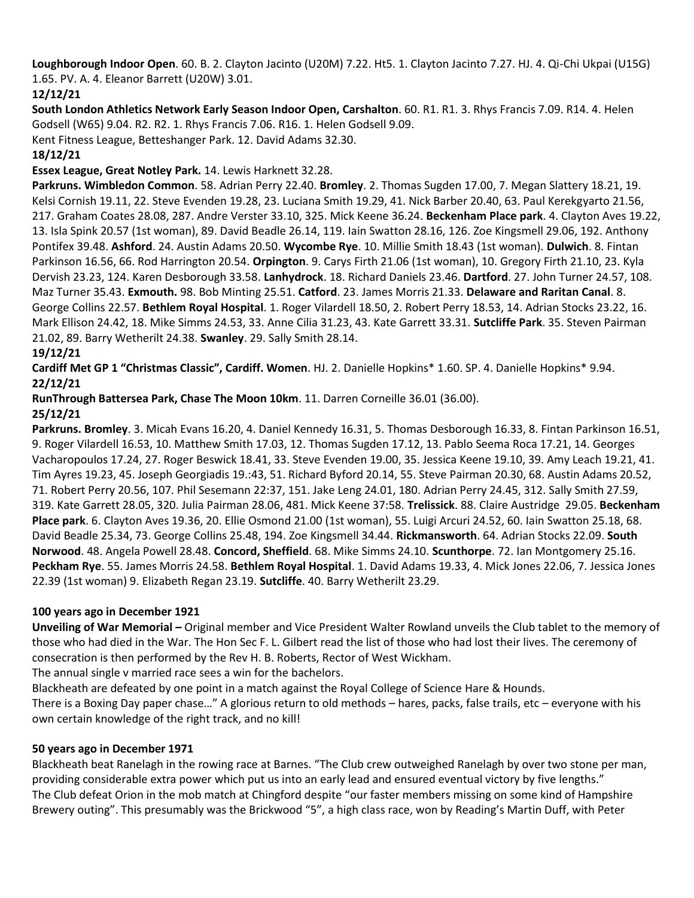**Loughborough Indoor Open**. 60. B. 2. Clayton Jacinto (U20M) 7.22. Ht5. 1. Clayton Jacinto 7.27. HJ. 4. Qi-Chi Ukpai (U15G) 1.65. PV. A. 4. Eleanor Barrett (U20W) 3.01.

# **12/12/21**

**South London Athletics Network Early Season Indoor Open, Carshalton**. 60. R1. R1. 3. Rhys Francis 7.09. R14. 4. Helen Godsell (W65) 9.04. R2. R2. 1. Rhys Francis 7.06. R16. 1. Helen Godsell 9.09.

Kent Fitness League, Betteshanger Park. 12. David Adams 32.30.

# **18/12/21**

# **Essex League, Great Notley Park.** 14. Lewis Harknett 32.28.

**Parkruns. Wimbledon Common**. 58. Adrian Perry 22.40. **Bromley**. 2. Thomas Sugden 17.00, 7. Megan Slattery 18.21, 19. Kelsi Cornish 19.11, 22. Steve Evenden 19.28, 23. Luciana Smith 19.29, 41. Nick Barber 20.40, 63. Paul Kerekgyarto 21.56, 217. Graham Coates 28.08, 287. Andre Verster 33.10, 325. Mick Keene 36.24. **Beckenham Place park**. 4. Clayton Aves 19.22, 13. Isla Spink 20.57 (1st woman), 89. David Beadle 26.14, 119. Iain Swatton 28.16, 126. Zoe Kingsmell 29.06, 192. Anthony Pontifex 39.48. **Ashford**. 24. Austin Adams 20.50. **Wycombe Rye**. 10. Millie Smith 18.43 (1st woman). **Dulwich**. 8. Fintan Parkinson 16.56, 66. Rod Harrington 20.54. **Orpington**. 9. Carys Firth 21.06 (1st woman), 10. Gregory Firth 21.10, 23. Kyla Dervish 23.23, 124. Karen Desborough 33.58. **Lanhydrock**. 18. Richard Daniels 23.46. **Dartford**. 27. John Turner 24.57, 108. Maz Turner 35.43. **Exmouth.** 98. Bob Minting 25.51. **Catford**. 23. James Morris 21.33. **Delaware and Raritan Canal**. 8. George Collins 22.57. **Bethlem Royal Hospital**. 1. Roger Vilardell 18.50, 2. Robert Perry 18.53, 14. Adrian Stocks 23.22, 16. Mark Ellison 24.42, 18. Mike Simms 24.53, 33. Anne Cilia 31.23, 43. Kate Garrett 33.31. **Sutcliffe Park**. 35. Steven Pairman 21.02, 89. Barry Wetherilt 24.38. **Swanley**. 29. Sally Smith 28.14.

# **19/12/21**

**Cardiff Met GP 1 "Christmas Classic", Cardiff. Women**. HJ. 2. Danielle Hopkins\* 1.60. SP. 4. Danielle Hopkins\* 9.94. **22/12/21**

**RunThrough Battersea Park, Chase The Moon 10km**. 11. Darren Corneille 36.01 (36.00).

# **25/12/21**

**Parkruns. Bromley**. 3. Micah Evans 16.20, 4. Daniel Kennedy 16.31, 5. Thomas Desborough 16.33, 8. Fintan Parkinson 16.51, 9. Roger Vilardell 16.53, 10. Matthew Smith 17.03, 12. Thomas Sugden 17.12, 13. Pablo Seema Roca 17.21, 14. Georges Vacharopoulos 17.24, 27. Roger Beswick 18.41, 33. Steve Evenden 19.00, 35. Jessica Keene 19.10, 39. Amy Leach 19.21, 41. Tim Ayres 19.23, 45. Joseph Georgiadis 19.:43, 51. Richard Byford 20.14, 55. Steve Pairman 20.30, 68. Austin Adams 20.52, 71. Robert Perry 20.56, 107. Phil Sesemann 22:37, 151. Jake Leng 24.01, 180. Adrian Perry 24.45, 312. Sally Smith 27.59, 319. Kate Garrett 28.05, 320. Julia Pairman 28.06, 481. Mick Keene 37:58. **Trelissick**. 88. Claire Austridge 29.05. **Beckenham Place park**. 6. Clayton Aves 19.36, 20. Ellie Osmond 21.00 (1st woman), 55. Luigi Arcuri 24.52, 60. Iain Swatton 25.18, 68. David Beadle 25.34, 73. George Collins 25.48, 194. Zoe Kingsmell 34.44. **Rickmansworth**. 64. Adrian Stocks 22.09. **South Norwood**. 48. Angela Powell 28.48. **Concord, Sheffield**. 68. Mike Simms 24.10. **Scunthorpe**. 72. Ian Montgomery 25.16. **Peckham Rye**. 55. James Morris 24.58. **Bethlem Royal Hospital**. 1. David Adams 19.33, 4. Mick Jones 22.06, 7. Jessica Jones 22.39 (1st woman) 9. Elizabeth Regan 23.19. **Sutcliffe**. 40. Barry Wetherilt 23.29.

#### **100 years ago in December 1921**

**Unveiling of War Memorial –** Original member and Vice President Walter Rowland unveils the Club tablet to the memory of those who had died in the War. The Hon Sec F. L. Gilbert read the list of those who had lost their lives. The ceremony of consecration is then performed by the Rev H. B. Roberts, Rector of West Wickham.

The annual single v married race sees a win for the bachelors.

Blackheath are defeated by one point in a match against the Royal College of Science Hare & Hounds.

There is a Boxing Day paper chase…" A glorious return to old methods – hares, packs, false trails, etc – everyone with his own certain knowledge of the right track, and no kill!

# **50 years ago in December 1971**

Blackheath beat Ranelagh in the rowing race at Barnes. "The Club crew outweighed Ranelagh by over two stone per man, providing considerable extra power which put us into an early lead and ensured eventual victory by five lengths." The Club defeat Orion in the mob match at Chingford despite "our faster members missing on some kind of Hampshire Brewery outing". This presumably was the Brickwood "5", a high class race, won by Reading's Martin Duff, with Peter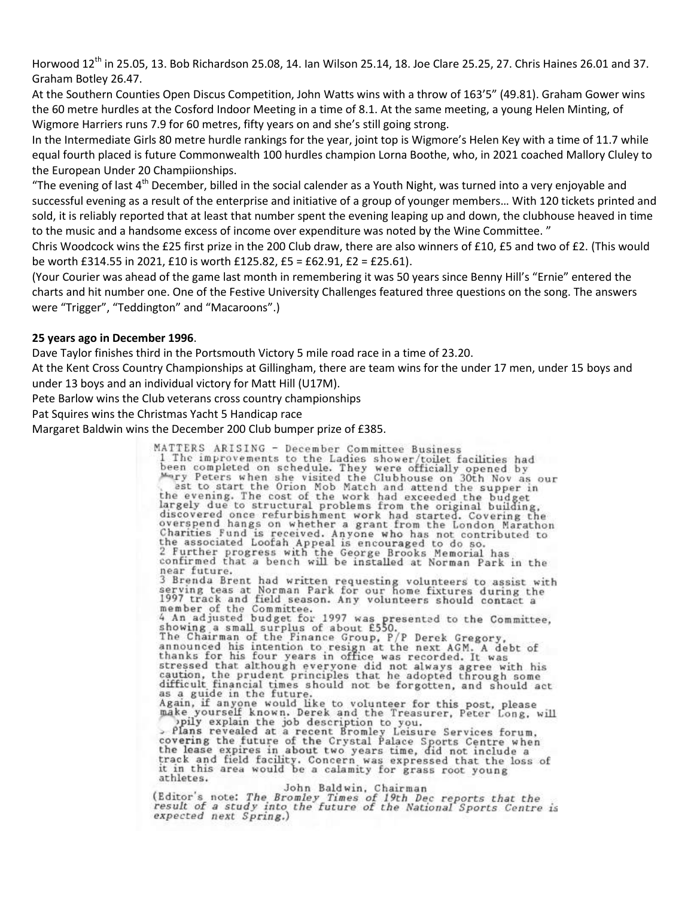Horwood  $12^{th}$  in 25.05, 13. Bob Richardson 25.08, 14. Ian Wilson 25.14, 18. Joe Clare 25.25, 27. Chris Haines 26.01 and 37. Graham Botley 26.47.

At the Southern Counties Open Discus Competition, John Watts wins with a throw of 163'5" (49.81). Graham Gower wins the 60 metre hurdles at the Cosford Indoor Meeting in a time of 8.1. At the same meeting, a young Helen Minting, of Wigmore Harriers runs 7.9 for 60 metres, fifty years on and she's still going strong.

In the Intermediate Girls 80 metre hurdle rankings for the year, joint top is Wigmore's Helen Key with a time of 11.7 while equal fourth placed is future Commonwealth 100 hurdles champion Lorna Boothe, who, in 2021 coached Mallory Cluley to the European Under 20 Champiionships.

"The evening of last  $4<sup>th</sup>$  December, billed in the social calender as a Youth Night, was turned into a very enjoyable and successful evening as a result of the enterprise and initiative of a group of younger members… With 120 tickets printed and sold, it is reliably reported that at least that number spent the evening leaping up and down, the clubhouse heaved in time to the music and a handsome excess of income over expenditure was noted by the Wine Committee. "

Chris Woodcock wins the £25 first prize in the 200 Club draw, there are also winners of £10, £5 and two of £2. (This would be worth £314.55 in 2021, £10 is worth £125.82, £5 = £62.91, £2 = £25.61).

(Your Courier was ahead of the game last month in remembering it was 50 years since Benny Hill's "Ernie" entered the charts and hit number one. One of the Festive University Challenges featured three questions on the song. The answers were "Trigger", "Teddington" and "Macaroons".)

#### **25 years ago in December 1996**.

Dave Taylor finishes third in the Portsmouth Victory 5 mile road race in a time of 23.20.

At the Kent Cross Country Championships at Gillingham, there are team wins for the under 17 men, under 15 boys and under 13 boys and an individual victory for Matt Hill (U17M).

Pete Barlow wins the Club veterans cross country championships

Pat Squires wins the Christmas Yacht 5 Handicap race

Margaret Baldwin wins the December 200 Club bumper prize of £385.

MATTERS ARISING - December Committee Business MAILERS ARISING - December Committee Business<br>1 The improvements to the Ladies shower (toilet facilities had<br>been completed on schedule. They were officially opened by<br>"Ty Peters when she visited the Clubhouse on 30th Nov discovered once refurbishment work had started. Covering the overspend hangs on whether a grant from the London Marathon Charities Fund is received. Anyone who has not contributed to<br>the associated Loofah Appeal is encouraged to do so.<br>2 Further progress with the George Brooks Memorial has<br>confirmed that a bench will be installed at Norman P near future. near future.<br>
3 Brenda Brent had written requesting volunteers to assist with<br>
serving teas at Norman Park for our home fixtures during the<br>
1997 track and field season. Any volunteers should contact a<br>
member of the Comm stressed that although everyone did not always agree with his caution, the prudent principles that he adopted through some difficult financial times should not be forgotten, and should act as a guide in the future. Again, if anyone would like to volunteer for this post, please<br>make yourself known. Derek and the Treasurer, Peter Long, will<br>pily explain the job description to you,<br> $\therefore$  Plans revealed at a recent Bromley Leisure Servic the lease expires in about two years time, did not include a track and field facility. Concern was expressed that the loss of<br>it in this area would be a calamity for grass root young athletes.

#### John Baldwin, Chairman

(Editor's note: The Bromley Times of 19th Dec reports that the<br>result of a study into the future of the National Sports Centre is expected next Spring.)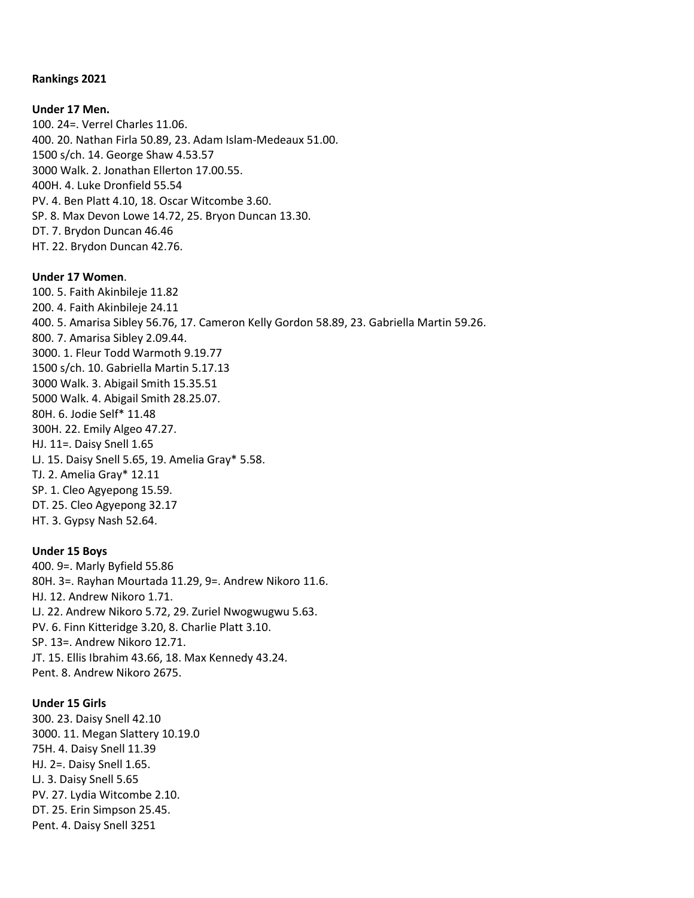#### **Rankings 2021**

#### **Under 17 Men.**

100. 24=. Verrel Charles 11.06. 400. 20. Nathan Firla 50.89, 23. Adam Islam-Medeaux 51.00. 1500 s/ch. 14. George Shaw 4.53.57 3000 Walk. 2. Jonathan Ellerton 17.00.55. 400H. 4. Luke Dronfield 55.54 PV. 4. Ben Platt 4.10, 18. Oscar Witcombe 3.60. SP. 8. Max Devon Lowe 14.72, 25. Bryon Duncan 13.30. DT. 7. Brydon Duncan 46.46 HT. 22. Brydon Duncan 42.76.

#### **Under 17 Women**.

100. 5. Faith Akinbileje 11.82 200. 4. Faith Akinbileje 24.11 400. 5. Amarisa Sibley 56.76, 17. Cameron Kelly Gordon 58.89, 23. Gabriella Martin 59.26. 800. 7. Amarisa Sibley 2.09.44. 3000. 1. Fleur Todd Warmoth 9.19.77 1500 s/ch. 10. Gabriella Martin 5.17.13 3000 Walk. 3. Abigail Smith 15.35.51 5000 Walk. 4. Abigail Smith 28.25.07. 80H. 6. Jodie Self\* 11.48 300H. 22. Emily Algeo 47.27. HJ. 11=. Daisy Snell 1.65 LJ. 15. Daisy Snell 5.65, 19. Amelia Gray\* 5.58. TJ. 2. Amelia Gray\* 12.11 SP. 1. Cleo Agyepong 15.59. DT. 25. Cleo Agyepong 32.17 HT. 3. Gypsy Nash 52.64.

#### **Under 15 Boys**

400. 9=. Marly Byfield 55.86 80H. 3=. Rayhan Mourtada 11.29, 9=. Andrew Nikoro 11.6. HJ. 12. Andrew Nikoro 1.71. LJ. 22. Andrew Nikoro 5.72, 29. Zuriel Nwogwugwu 5.63. PV. 6. Finn Kitteridge 3.20, 8. Charlie Platt 3.10. SP. 13=. Andrew Nikoro 12.71. JT. 15. Ellis Ibrahim 43.66, 18. Max Kennedy 43.24. Pent. 8. Andrew Nikoro 2675.

#### **Under 15 Girls**

300. 23. Daisy Snell 42.10 3000. 11. Megan Slattery 10.19.0 75H. 4. Daisy Snell 11.39 HJ. 2=. Daisy Snell 1.65. LJ. 3. Daisy Snell 5.65 PV. 27. Lydia Witcombe 2.10. DT. 25. Erin Simpson 25.45. Pent. 4. Daisy Snell 3251